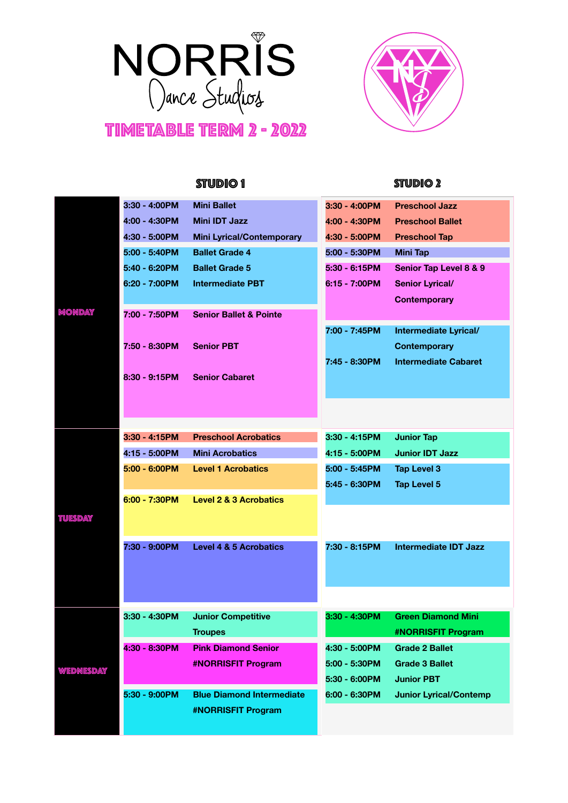

## TIMETABLE TERM 2 - 2022



|                |                  | <b>STUDIO1</b>                    |                  | <b>STUDIO 2</b>               |
|----------------|------------------|-----------------------------------|------------------|-------------------------------|
|                | 3:30 - 4:00PM    | <b>Mini Ballet</b>                | 3:30 - 4:00PM    | <b>Preschool Jazz</b>         |
|                | 4:00 - 4:30PM    | <b>Mini IDT Jazz</b>              | 4:00 - 4:30PM    | <b>Preschool Ballet</b>       |
|                | 4:30 - 5:00PM    | <b>Mini Lyrical/Contemporary</b>  | 4:30 - 5:00PM    | <b>Preschool Tap</b>          |
|                | 5:00 - 5:40PM    | <b>Ballet Grade 4</b>             | 5:00 - 5:30PM    | Mini Tap                      |
|                | 5:40 - 6:20PM    | <b>Ballet Grade 5</b>             | 5:30 - 6:15PM    | Senior Tap Level 8 & 9        |
|                | 6:20 - 7:00PM    | <b>Intermediate PBT</b>           | 6:15 - 7:00PM    | <b>Senior Lyrical/</b>        |
|                |                  |                                   |                  | <b>Contemporary</b>           |
| Monday         | 7:00 - 7:50PM    | <b>Senior Ballet &amp; Pointe</b> |                  |                               |
|                |                  |                                   | 7:00 - 7:45PM    | Intermediate Lyrical/         |
|                | 7:50 - 8:30PM    | <b>Senior PBT</b>                 |                  | <b>Contemporary</b>           |
|                |                  |                                   | 7:45 - 8:30PM    | <b>Intermediate Cabaret</b>   |
|                | $8:30 - 9:15$ PM | <b>Senior Cabaret</b>             |                  |                               |
|                |                  |                                   |                  |                               |
|                |                  |                                   |                  |                               |
|                |                  |                                   |                  |                               |
|                | $3:30 - 4:15$ PM | <b>Preschool Acrobatics</b>       | $3:30 - 4:15$ PM | <b>Junior Tap</b>             |
|                | 4:15 - 5:00PM    | <b>Mini Acrobatics</b>            | 4:15 - 5:00PM    | <b>Junior IDT Jazz</b>        |
|                | 5:00 - 6:00PM    | <b>Level 1 Acrobatics</b>         | 5:00 - 5:45PM    | <b>Tap Level 3</b>            |
|                |                  |                                   | 5:45 - 6:30PM    | <b>Tap Level 5</b>            |
|                | 6:00 - 7:30PM    | <b>Level 2 &amp; 3 Acrobatics</b> |                  |                               |
| <b>TUESDAY</b> |                  |                                   |                  |                               |
|                |                  |                                   |                  |                               |
|                | 7:30 - 9:00PM    | <b>Level 4 &amp; 5 Acrobatics</b> | 7:30 - 8:15PM    | <b>Intermediate IDT Jazz</b>  |
|                |                  |                                   |                  |                               |
|                |                  |                                   |                  |                               |
|                |                  |                                   |                  |                               |
| WEDNESDAY      | 3:30 - 4:30PM    | <b>Junior Competitive</b>         | 3:30 - 4:30PM    | <b>Green Diamond Mini</b>     |
|                |                  | <b>Troupes</b>                    |                  | #NORRISFIT Program            |
|                | 4:30 - 8:30PM    | <b>Pink Diamond Senior</b>        | 4:30 - 5:00PM    | <b>Grade 2 Ballet</b>         |
|                |                  | <b>#NORRISFIT Program</b>         | 5:00 - 5:30PM    | <b>Grade 3 Ballet</b>         |
|                |                  |                                   | 5:30 - 6:00PM    | <b>Junior PBT</b>             |
|                | 5:30 - 9:00PM    | <b>Blue Diamond Intermediate</b>  | 6:00 - 6:30PM    | <b>Junior Lyrical/Contemp</b> |
|                |                  | <b>#NORRISFIT Program</b>         |                  |                               |
|                |                  |                                   |                  |                               |